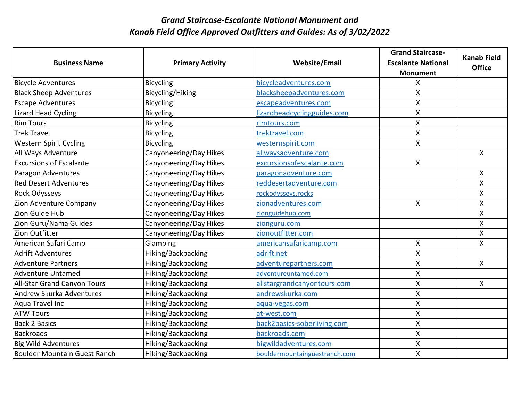|                                |                         |                               | <b>Grand Staircase-</b>   | <b>Kanab Field</b> |
|--------------------------------|-------------------------|-------------------------------|---------------------------|--------------------|
| <b>Business Name</b>           | <b>Primary Activity</b> | <b>Website/Email</b>          | <b>Escalante National</b> | <b>Office</b>      |
|                                |                         |                               | <b>Monument</b>           |                    |
| <b>Bicycle Adventures</b>      | <b>Bicycling</b>        | bicycleadventures.com         | Χ                         |                    |
| <b>Black Sheep Adventures</b>  | Bicycling/Hiking        | blacksheepadventures.com      | X                         |                    |
| <b>Escape Adventures</b>       | <b>Bicycling</b>        | escapeadventures.com          | X.                        |                    |
| <b>Lizard Head Cycling</b>     | <b>Bicycling</b>        | lizardheadcyclingguides.com   | X                         |                    |
| <b>Rim Tours</b>               | <b>Bicycling</b>        | rimtours.com                  | X                         |                    |
| <b>Trek Travel</b>             | <b>Bicycling</b>        | trektravel.com                | X                         |                    |
| <b>Western Spirit Cycling</b>  | <b>Bicycling</b>        | westernspirit.com             | X                         |                    |
| All Ways Adventure             | Canyoneering/Day Hikes  | allwaysadventure.com          |                           | $\mathsf{X}$       |
| <b>Excursions of Escalante</b> | Canyoneering/Day Hikes  | excursionsofescalante.com     | X                         |                    |
| Paragon Adventures             | Canyoneering/Day Hikes  | paragonadventure.com          |                           | $\mathsf{X}$       |
| <b>Red Desert Adventures</b>   | Canyoneering/Day Hikes  | reddesertadventure.com        |                           | $\pmb{\mathsf{X}}$ |
| Rock Odysseys                  | Canyoneering/Day Hikes  | rockodysseys.rocks            |                           | $\pmb{\mathsf{X}}$ |
| Zion Adventure Company         | Canyoneering/Day Hikes  | zionadventures.com            | $\mathsf{X}$              | $\mathsf{X}$       |
| Zion Guide Hub                 | Canyoneering/Day Hikes  | zionguidehub.com              |                           | X                  |
| Zion Guru/Nama Guides          | Canyoneering/Day Hikes  | zionguru.com                  |                           | X                  |
| Zion Outfitter                 | Canyoneering/Day Hikes  | zionoutfitter.com             |                           | X                  |
| American Safari Camp           | Glamping                | americansafaricamp.com        | X                         | X                  |
| <b>Adrift Adventures</b>       | Hiking/Backpacking      | adrift.net                    | X                         |                    |
| <b>Adventure Partners</b>      | Hiking/Backpacking      | adventurepartners.com         | X                         | $\mathsf{X}$       |
| <b>Adventure Untamed</b>       | Hiking/Backpacking      | adventureuntamed.com          | X                         |                    |
| All-Star Grand Canyon Tours    | Hiking/Backpacking      | allstargrandcanyontours.com   | X                         | $\mathsf{X}$       |
| Andrew Skurka Adventures       | Hiking/Backpacking      | andrewskurka.com              | Χ                         |                    |
| Aqua Travel Inc                | Hiking/Backpacking      | aqua-vegas.com                | $\mathsf{X}$              |                    |
| <b>ATW Tours</b>               | Hiking/Backpacking      | at-west.com                   | X                         |                    |
| <b>Back 2 Basics</b>           | Hiking/Backpacking      | back2basics-soberliving.com   | $\mathsf{X}$              |                    |
| Backroads                      | Hiking/Backpacking      | backroads.com                 | X                         |                    |
| <b>Big Wild Adventures</b>     | Hiking/Backpacking      | bigwildadventures.com         | Χ                         |                    |
| Boulder Mountain Guest Ranch   | Hiking/Backpacking      | bouldermountainguestranch.com | X                         |                    |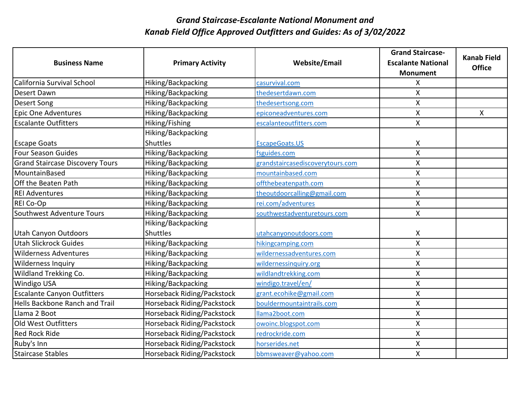|                                        |                            |                                  | <b>Grand Staircase-</b>   | <b>Kanab Field</b> |
|----------------------------------------|----------------------------|----------------------------------|---------------------------|--------------------|
| <b>Business Name</b>                   | <b>Primary Activity</b>    | <b>Website/Email</b>             | <b>Escalante National</b> | <b>Office</b>      |
|                                        |                            |                                  | <b>Monument</b>           |                    |
| California Survival School             | Hiking/Backpacking         | casurvival.com                   | X                         |                    |
| Desert Dawn                            | Hiking/Backpacking         | thedesertdawn.com                | X                         |                    |
| Desert Song                            | Hiking/Backpacking         | thedesertsong.com                | Χ                         |                    |
| <b>Epic One Adventures</b>             | Hiking/Backpacking         | epiconeadventures.com            | $\mathsf{X}$              | $\mathsf{X}$       |
| <b>Escalante Outfitters</b>            | Hiking/Fishing             | escalanteoutfitters.com          | X                         |                    |
|                                        | Hiking/Backpacking         |                                  |                           |                    |
| <b>Escape Goats</b>                    | <b>Shuttles</b>            | EscapeGoats.US                   | X                         |                    |
| <b>Four Season Guides</b>              | Hiking/Backpacking         | fsguides.com                     | X                         |                    |
| <b>Grand Staircase Discovery Tours</b> | Hiking/Backpacking         | grandstaircasediscoverytours.com | Χ                         |                    |
| MountainBased                          | Hiking/Backpacking         | mountainbased.com                | $\mathsf{X}$              |                    |
| Off the Beaten Path                    | Hiking/Backpacking         | offthebeatenpath.com             | X                         |                    |
| <b>REI Adventures</b>                  | Hiking/Backpacking         | theoutdoorcalling@gmail.com      | X                         |                    |
| REI Co-Op                              | Hiking/Backpacking         | rei.com/adventures               | X                         |                    |
| Southwest Adventure Tours              | Hiking/Backpacking         | southwestadventuretours.com      | X                         |                    |
|                                        | Hiking/Backpacking         |                                  |                           |                    |
| Utah Canyon Outdoors                   | Shuttles                   | utahcanyonoutdoors.com           | X                         |                    |
| <b>Utah Slickrock Guides</b>           | Hiking/Backpacking         | hikingcamping.com                | X                         |                    |
| <b>Wilderness Adventures</b>           | Hiking/Backpacking         | wildernessadventures.com         | Χ                         |                    |
| <b>Wilderness Inquiry</b>              | Hiking/Backpacking         | wildernessinquiry.org            | X                         |                    |
| Wildland Trekking Co.                  | Hiking/Backpacking         | wildlandtrekking.com             | X                         |                    |
| <b>Windigo USA</b>                     | Hiking/Backpacking         | windigo.travel/en/               | $\sf X$                   |                    |
| <b>Escalante Canyon Outfitters</b>     | Horseback Riding/Packstock | grant.ecohike@gmail.com          | X                         |                    |
| Hells Backbone Ranch and Trail         | Horseback Riding/Packstock | bouldermountaintrails.com        | X                         |                    |
| Llama 2 Boot                           | Horseback Riding/Packstock | llama2boot.com                   | $\pmb{\mathsf{X}}$        |                    |
| Old West Outfitters                    | Horseback Riding/Packstock | owoinc.blogspot.com              | X                         |                    |
| <b>Red Rock Ride</b>                   | Horseback Riding/Packstock | redrockride.com                  | X                         |                    |
| Ruby's Inn                             | Horseback Riding/Packstock | horserides.net                   | Χ                         |                    |
| Staircase Stables                      | Horseback Riding/Packstock | bbmsweaver@yahoo.com             | $\mathsf{X}$              |                    |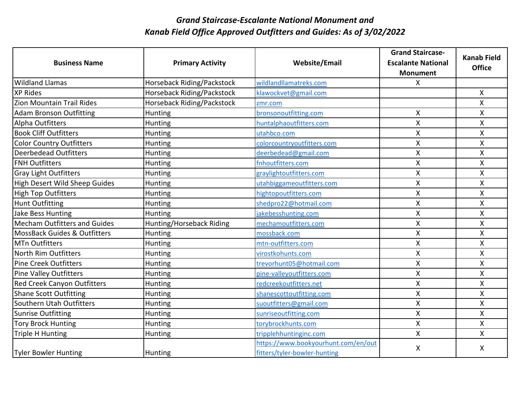|                                         |                            |                                     | <b>Grand Staircase-</b>   | <b>Kanab Field</b> |
|-----------------------------------------|----------------------------|-------------------------------------|---------------------------|--------------------|
| <b>Business Name</b>                    | <b>Primary Activity</b>    | <b>Website/Email</b>                | <b>Escalante National</b> | <b>Office</b>      |
|                                         |                            |                                     | <b>Monument</b>           |                    |
| <b>Wildland Llamas</b>                  | Horseback Riding/Packstock | wildlandllamatreks.com              | X.                        |                    |
| <b>XP Rides</b>                         | Horseback Riding/Packstock | klawockvet@gmail.com                |                           | $\mathsf{X}$       |
| <b>Zion Mountain Trail Rides</b>        | Horseback Riding/Packstock | zmr.com                             |                           | X                  |
| <b>Adam Bronson Outfitting</b>          | Hunting                    | bronsonoutfitting.com               | Χ                         | X                  |
| Alpha Outfitters                        | Hunting                    | huntalphaoutfitters.com             | X                         | X                  |
| <b>Book Cliff Outfitters</b>            | Hunting                    | utahbco.com                         | X                         | X                  |
| <b>Color Country Outfitters</b>         | Hunting                    | colorcountryoutfitters.com          | X                         | $\pmb{\mathsf{X}}$ |
| <b>Deerbedead Outfitters</b>            | Hunting                    | deerbedead@gmail.com                | Χ                         | X                  |
| <b>FNH Outfitters</b>                   | Hunting                    | fnhoutfitters.com                   | X                         | $\mathsf{X}$       |
| <b>Gray Light Outfitters</b>            | Hunting                    | graylightoutfitters.com             | X                         | $\mathsf{X}$       |
| High Desert Wild Sheep Guides           | Hunting                    | utahbiggameoutfitters.com           | $\overline{\mathsf{X}}$   | $\mathsf{X}$       |
| <b>High Top Outfitters</b>              | Hunting                    | hightopoutfitters.com               | X                         | X                  |
| <b>Hunt Outfitting</b>                  | Hunting                    | shedpro22@hotmail.com               | X                         | X                  |
| <b>Jake Bess Hunting</b>                | Hunting                    | jakebesshunting.com                 | X                         | X                  |
| <b>Mecham Outfitters and Guides</b>     | Hunting/Horseback Riding   | mechamoutfitters.com                | X                         | $\mathsf{X}$       |
| <b>MossBack Guides &amp; Outfitters</b> | Hunting                    | mossback.com                        | X                         | X                  |
| <b>MTn Outfitters</b>                   | Hunting                    | mtn-outfitters.com                  | Χ                         | X                  |
| North Rim Outfitters                    | Hunting                    | virostkohunts.com                   | X                         | $\pmb{\mathsf{X}}$ |
| <b>Pine Creek Outfitters</b>            | Hunting                    | trevorhunt05@hotmail.com            | X                         | $\pmb{\mathsf{X}}$ |
| <b>Pine Valley Outfitters</b>           | Hunting                    | pine-valleyoutfitters.com           | X                         | X                  |
| <b>Red Creek Canyon Outfitters</b>      | Hunting                    | redcreekoutfitters.net              | X                         | X                  |
| <b>Shane Scott Outfitting</b>           | Hunting                    | shanescottoutfitting.com            | Χ                         | X                  |
| Southern Utah Outfitters                | Hunting                    | suoutfitters@gmail.com              | X                         | $\pmb{\mathsf{X}}$ |
| <b>Sunrise Outfitting</b>               | Hunting                    | sunriseoutfitting.com               | $\mathsf{X}$              | $\pmb{\mathsf{X}}$ |
| <b>Tory Brock Hunting</b>               | Hunting                    | torybrockhunts.com                  | X                         | X                  |
| <b>Triple H Hunting</b>                 | Hunting                    | tripplehhuntinginc.com              | X                         | X                  |
|                                         |                            | https://www.bookyourhunt.com/en/out | X                         | X                  |
| Tyler Bowler Hunting                    | Hunting                    | fitters/tyler-bowler-hunting        |                           |                    |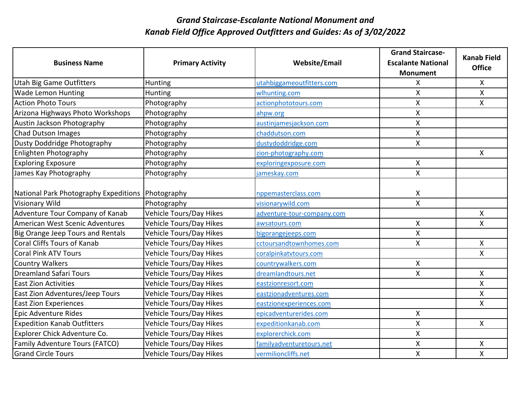|                                                   |                                |                            | <b>Grand Staircase-</b>   |                                     |
|---------------------------------------------------|--------------------------------|----------------------------|---------------------------|-------------------------------------|
| <b>Business Name</b>                              | <b>Primary Activity</b>        | <b>Website/Email</b>       | <b>Escalante National</b> | <b>Kanab Field</b><br><b>Office</b> |
|                                                   |                                |                            | <b>Monument</b>           |                                     |
| <b>Utah Big Game Outfitters</b>                   | Hunting                        | utahbiggameoutfitters.com  | X                         | $\mathsf{X}$                        |
| <b>Wade Lemon Hunting</b>                         | Hunting                        | wlhunting.com              | X                         | $\mathsf{X}$                        |
| <b>Action Photo Tours</b>                         | Photography                    | actionphototours.com       | Χ                         | X                                   |
| Arizona Highways Photo Workshops                  | Photography                    | ahpw.org                   | X                         |                                     |
| Austin Jackson Photography                        | Photography                    | austinjamesjackson.com     | X                         |                                     |
| Chad Dutson Images                                | Photography                    | chaddutson.com             | X                         |                                     |
| Dusty Doddridge Photography                       | Photography                    | dustydoddridge.com         | $\mathsf{X}$              |                                     |
| Enlighten Photography                             | Photography                    | zion-photography.com       |                           | $\mathsf{X}$                        |
| <b>Exploring Exposure</b>                         | Photography                    | exploringexposure.com      | X                         |                                     |
| James Kay Photography                             | Photography                    | jameskay.com               | X                         |                                     |
|                                                   |                                |                            |                           |                                     |
| National Park Photography Expeditions Photography |                                | nppemasterclass.com        | X                         |                                     |
| <b>Visionary Wild</b>                             | Photography                    | visionarywild.com          | X                         |                                     |
| Adventure Tour Company of Kanab                   | <b>Vehicle Tours/Day Hikes</b> | adventure-tour-company.com |                           | $\mathsf{X}$                        |
| American West Scenic Adventures                   | <b>Vehicle Tours/Day Hikes</b> | awsatours.com              | $\mathsf{X}% _{0}$        | X                                   |
| Big Orange Jeep Tours and Rentals                 | <b>Vehicle Tours/Day Hikes</b> | bigorangejeeps.com         | X                         |                                     |
| <b>Coral Cliffs Tours of Kanab</b>                | Vehicle Tours/Day Hikes        | cctoursandtownhomes.com    | X                         | $\pmb{\mathsf{X}}$                  |
| Coral Pink ATV Tours                              | Vehicle Tours/Day Hikes        | coralpinkatvtours.com      |                           | X                                   |
| <b>Country Walkers</b>                            | Vehicle Tours/Day Hikes        | countrywalkers.com         | X                         |                                     |
| <b>Dreamland Safari Tours</b>                     | <b>Vehicle Tours/Day Hikes</b> | dreamlandtours.net         | X                         | $\mathsf{X}$                        |
| <b>East Zion Activities</b>                       | <b>Vehicle Tours/Day Hikes</b> | eastzionresort.com         |                           | $\pmb{\mathsf{X}}$                  |
| East Zion Adventures/Jeep Tours                   | Vehicle Tours/Day Hikes        | eastzionadventures.com     |                           | X                                   |
| <b>East Zion Experiences</b>                      | Vehicle Tours/Day Hikes        | eastzionexperiences.com    |                           | X                                   |
| Epic Adventure Rides                              | Vehicle Tours/Day Hikes        | epicadventurerides.com     | Χ                         |                                     |
| <b>Expedition Kanab Outfitters</b>                | Vehicle Tours/Day Hikes        | expeditionkanab.com        | X                         | $\mathsf{X}$                        |
| Explorer Chick Adventure Co.                      | <b>Vehicle Tours/Day Hikes</b> | explorerchick.com          | X                         |                                     |
| Family Adventure Tours (FATCO)                    | Vehicle Tours/Day Hikes        | familyadventuretours.net   | Χ                         | X                                   |
| <b>Grand Circle Tours</b>                         | <b>Vehicle Tours/Day Hikes</b> | vermilioncliffs.net        | X                         | $\pmb{\mathsf{X}}$                  |